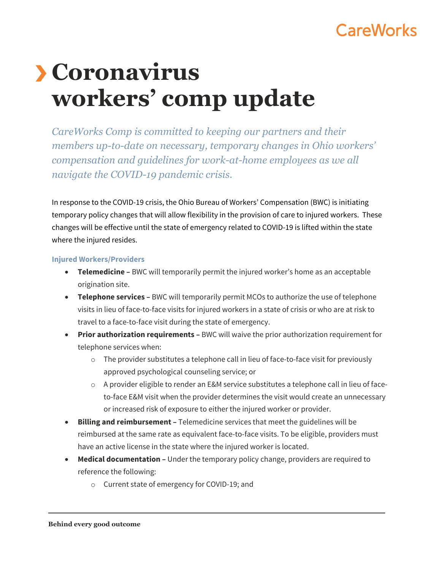# CareWorks

# **Coronavirus workers' comp update**

*CareWorks Comp is committed to keeping our partners and their members up-to-date on necessary, temporary changes in Ohio workers' compensation and guidelines for work-at-home employees as we all navigate the COVID-19 pandemic crisis.*

In response to the COVID-19 crisis, the Ohio Bureau of Workers' Compensation (BWC) is initiating temporary policy changes that will allow flexibility in the provision of care to injured workers. These changes will be effective until the state of emergency related to COVID-19 is lifted within the state where the injured resides.

#### **Injured Workers/Providers**

- **Telemedicine** BWC will temporarily permit the injured worker's home as an acceptable origination site.
- **Telephone services** BWC will temporarily permit MCOs to authorize the use of telephone visits in lieu of face-to-face visits for injured workers in a state of crisis or who are at risk to travel to a face-to-face visit during the state of emergency.
- **Prior authorization requirements** BWC will waive the prior authorization requirement for telephone services when:
	- $\circ$  The provider substitutes a telephone call in lieu of face-to-face visit for previously approved psychological counseling service; or
	- $\circ$  A provider eligible to render an E&M service substitutes a telephone call in lieu of faceto-face E&M visit when the provider determines the visit would create an unnecessary or increased risk of exposure to either the injured worker or provider.
- **Billing and reimbursement** Telemedicine services that meet the guidelines will be reimbursed at the same rate as equivalent face-to-face visits. To be eligible, providers must have an active license in the state where the injured worker is located.
- **Medical documentation** Under the temporary policy change, providers are required to reference the following:
	- o Current state of emergency for COVID-19; and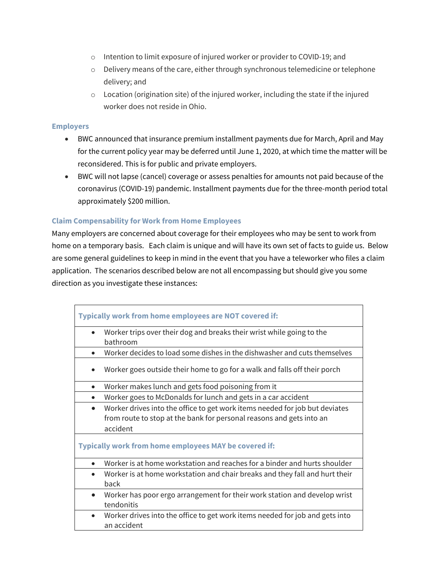- o Intention to limit exposure of injured worker or provider to COVID-19; and
- o Delivery means of the care, either through synchronous telemedicine or telephone delivery; and
- o Location (origination site) of the injured worker, including the state if the injured worker does not reside in Ohio.

### **Employers**

- BWC announced that insurance premium installment payments due for March, April and May for the current policy year may be deferred until June 1, 2020, at which time the matter will be reconsidered. This is for public and private employers.
- BWC will not lapse (cancel) coverage or assess penalties for amounts not paid because of the coronavirus (COVID-19) pandemic. Installment payments due for the three-month period total approximately \$200 million.

## **Claim Compensability for Work from Home Employees**

Many employers are concerned about coverage for their employees who may be sent to work from home on a temporary basis. Each claim is unique and will have its own set of facts to guide us. Below are some general guidelines to keep in mind in the event that you have a teleworker who files a claim application. The scenarios described below are not all encompassing but should give you some direction as you investigate these instances:

| Typically work from home employees are NOT covered if:                                                                                                          |
|-----------------------------------------------------------------------------------------------------------------------------------------------------------------|
| Worker trips over their dog and breaks their wrist while going to the<br>$\bullet$<br>bathroom                                                                  |
| Worker decides to load some dishes in the dishwasher and cuts themselves<br>$\bullet$                                                                           |
| Worker goes outside their home to go for a walk and falls off their porch                                                                                       |
| Worker makes lunch and gets food poisoning from it<br>$\bullet$                                                                                                 |
| Worker goes to McDonalds for lunch and gets in a car accident<br>$\bullet$                                                                                      |
| Worker drives into the office to get work items needed for job but deviates<br>from route to stop at the bank for personal reasons and gets into an<br>accident |
| Typically work from home employees MAY be covered if:                                                                                                           |
| Worker is at home workstation and reaches for a binder and hurts shoulder                                                                                       |
| Worker is at home workstation and chair breaks and they fall and hurt their<br>$\bullet$<br>back                                                                |
| Worker has poor ergo arrangement for their work station and develop wrist<br>$\bullet$<br>tendonitis                                                            |
| Worker drives into the office to get work items needed for job and gets into<br>an accident                                                                     |